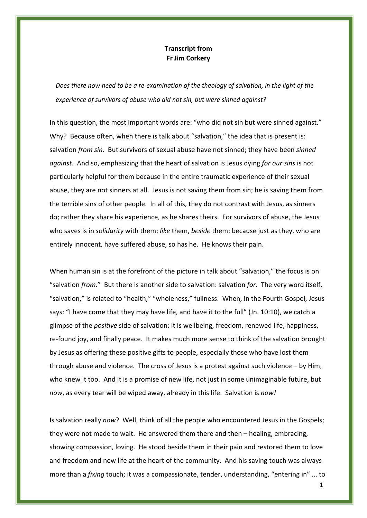## **Transcript from Fr Jim Corkery**

*Does there now need to be a re-examination of the theology of salvation, in the light of the experience of survivors of abuse who did not sin, but were sinned against?*

In this question, the most important words are: "who did not sin but were sinned against." Why? Because often, when there is talk about "salvation," the idea that is present is: salvation *from sin*. But survivors of sexual abuse have not sinned; they have been *sinned against*.And so, emphasizing that the heart of salvation is Jesus dying *for our sins* is not particularly helpful for them because in the entire traumatic experience of their sexual abuse, they are not sinners at all. Jesus is not saving them from sin; he is saving them from the terrible sins of other people. In all of this, they do not contrast with Jesus, as sinners do; rather they share his experience, as he shares theirs. For survivors of abuse, the Jesus who saves is in *solidarity* with them; *like* them, *beside* them; because just as they, who are entirely innocent, have suffered abuse, so has he. He knows their pain.

When human sin is at the forefront of the picture in talk about "salvation," the focus is on "salvation *from.*" But there is another side to salvation: salvation *for.* The very word itself, "salvation," is related to "health," "wholeness," fullness. When, in the Fourth Gospel, Jesus says: "I have come that they may have life, and have it to the full" (Jn. 10:10), we catch a glimpse of the *positive* side of salvation: it is wellbeing, freedom, renewed life, happiness, re-found joy, and finally peace. It makes much more sense to think of the salvation brought by Jesus as offering these positive gifts to people, especially those who have lost them through abuse and violence. The cross of Jesus is a protest against such violence – by Him, who knew it too. And it is a promise of new life, not just in some unimaginable future, but *now*, as every tear will be wiped away, already in this life. Salvation is *now!*

Is salvation really *now*? Well, think of all the people who encountered Jesus in the Gospels; they were not made to wait. He answered them there and then – healing, embracing, showing compassion, loving. He stood beside them in their pain and restored them to love and freedom and new life at the heart of the community. And his saving touch was always more than a *fixing* touch; it was a compassionate, tender, understanding, "entering in" ... to

1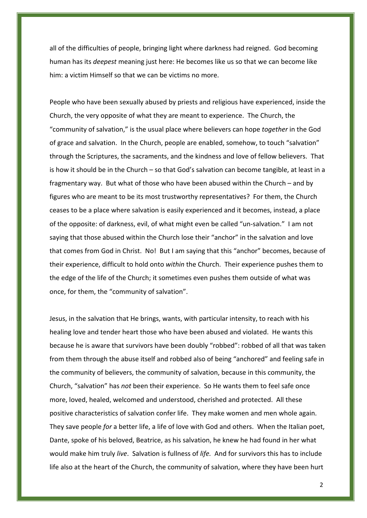all of the difficulties of people, bringing light where darkness had reigned. God becoming human has its *deepest* meaning just here: He becomes like us so that we can become like him: a victim Himself so that we can be victims no more.

People who have been sexually abused by priests and religious have experienced, inside the Church, the very opposite of what they are meant to experience. The Church, the "community of salvation," is the usual place where believers can hope *together* in the God of grace and salvation. In the Church, people are enabled, somehow, to touch "salvation" through the Scriptures, the sacraments, and the kindness and love of fellow believers. That is how it should be in the Church – so that God's salvation can become tangible, at least in a fragmentary way. But what of those who have been abused within the Church – and by figures who are meant to be its most trustworthy representatives? For them, the Church ceases to be a place where salvation is easily experienced and it becomes, instead, a place of the opposite: of darkness, evil, of what might even be called "un-salvation." I am not saying that those abused within the Church lose their "anchor" in the salvation and love that comes from God in Christ. No! But I am saying that this "anchor" becomes, because of their experience, difficult to hold onto *within* the Church. Their experience pushes them to the edge of the life of the Church; it sometimes even pushes them outside of what was once, for them, the "community of salvation".

Jesus, in the salvation that He brings, wants, with particular intensity, to reach with his healing love and tender heart those who have been abused and violated. He wants this because he is aware that survivors have been doubly "robbed": robbed of all that was taken from them through the abuse itself and robbed also of being "anchored" and feeling safe in the community of believers, the community of salvation, because in this community, the Church, "salvation" has *not* been their experience. So He wants them to feel safe once more, loved, healed, welcomed and understood, cherished and protected. All these positive characteristics of salvation confer life. They make women and men whole again. They save people *for* a better life, a life of love with God and others. When the Italian poet, Dante, spoke of his beloved, Beatrice, as his salvation, he knew he had found in her what would make him truly *live*. Salvation is fullness of *life.* And for survivors this has to include life also at the heart of the Church, the community of salvation, where they have been hurt